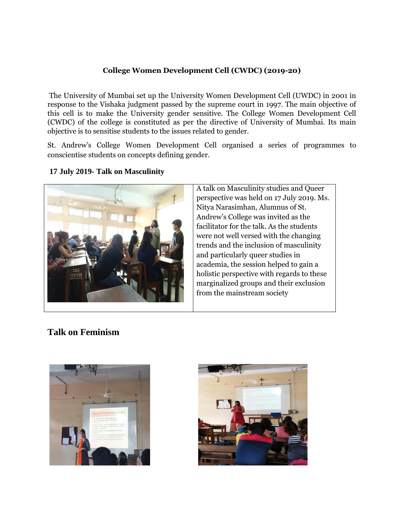## **College Women Development Cell (CWDC) (2019-20)**

The University of Mumbai set up the University Women Development Cell (UWDC) in 2001 in response to the Vishaka judgment passed by the supreme court in 1997. The main objective of this cell is to make the University gender sensitive. The College Women Development Cell (CWDC) of the college is constituted as per the directive of University of Mumbai. Its main objective is to sensitise students to the issues related to gender.

St. Andrew's College Women Development Cell organised a series of programmes to conscientise students on concepts defining gender.



## **17 July 2019- Talk on Masculinity**

A talk on Masculinity studies and Queer perspective was held on 17 July 2019. Ms. Nitya Narasimhan, Alumnus of St. Andrew's College was invited as the facilitator for the talk. As the students were not well versed with the changing trends and the inclusion of masculinity and particularly queer studies in academia, the session helped to gain a holistic perspective with regards to these marginalized groups and their exclusion from the mainstream society

## **Talk on Feminism**



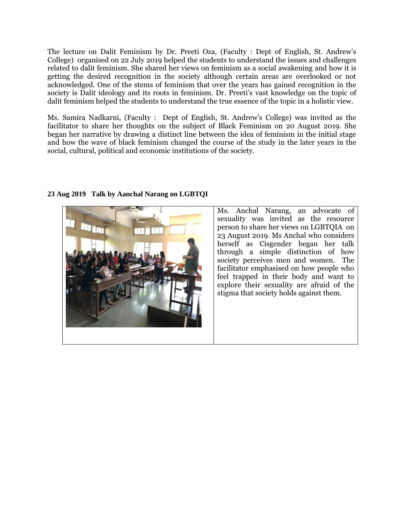The lecture on Dalit Feminism by Dr. Preeti Oza, (Faculty : Dept of English, St. Andrew's College) organised on 22 July 2019 helped the students to understand the issues and challenges related to dalit feminism. She shared her views on feminism as a social awakening and how it is getting the desired recognition in the society although certain areas are overlooked or not acknowledged. One of the stems of feminism that over the years has gained recognition in the society is Dalit ideology and its roots in feminism. Dr. Preeti's vast knowledge on the topic of dalit feminism helped the students to understand the true essence of the topic in a holistic view.

Ms. Samira Nadkarni, (Faculty : Dept of English, St. Andrew's College) was invited as the facilitator to share her thoughts on the subject of Black Feminism on 20 August 2019. She began her narrative by drawing a distinct line between the idea of feminism in the initial stage and how the wave of black feminism changed the course of the study in the later years in the social, cultural, political and economic institutions of the society.



**23 Aug 2019 Talk by Aanchal Narang on LGBTQI**

Ms. Anchal Narang, an advocate of sexuality was invited as the resource person to share her views on LGBTQIA on 23 August 2019. Ms Anchal who considers herself as Cisgender began her talk through a simple distinction of how society perceives men and women. The facilitator emphasised on how people who feel trapped in their body and want to explore their sexuality are afraid of the stigma that society holds against them.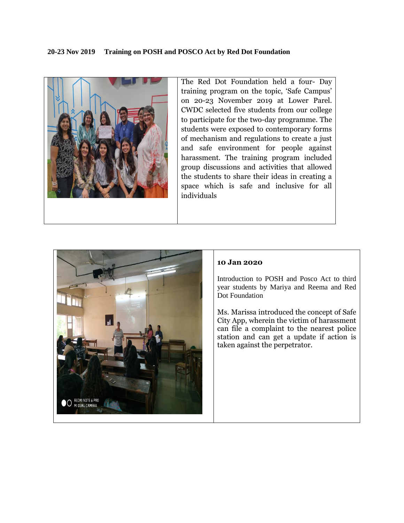

The Red Dot Foundation held a four- Day training program on the topic, 'Safe Campus' on 20-23 November 2019 at Lower Parel. CWDC selected five students from our college to participate for the two-day programme. The students were exposed to contemporary forms of mechanism and regulations to create a just and safe environment for people against harassment. The training program included group discussions and activities that allowed the students to share their ideas in creating a space which is safe and inclusive for all individuals



## **10 Jan 2020**

Introduction to POSH and Posco Act to third year students by Mariya and Reema and Red Dot Foundation

Ms. Marissa introduced the concept of Safe City App, wherein the victim of harassment can file a complaint to the nearest police station and can get a update if action is taken against the perpetrator.